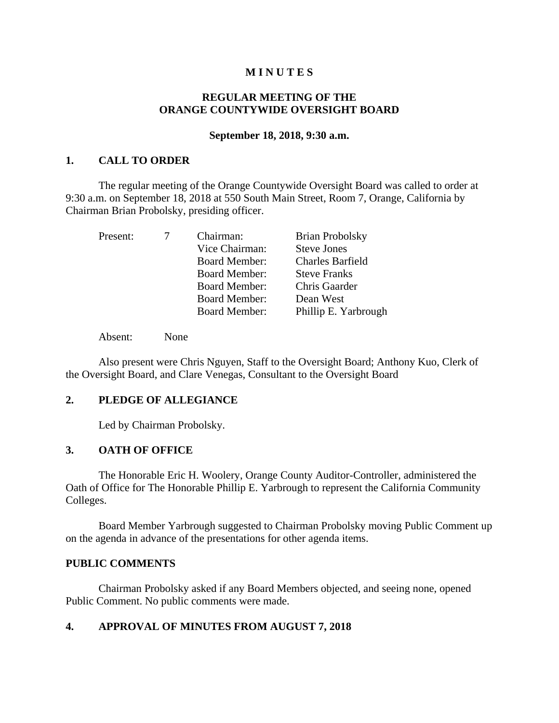## **M I N U T E S**

## **REGULAR MEETING OF THE ORANGE COUNTYWIDE OVERSIGHT BOARD**

#### **September 18, 2018, 9:30 a.m.**

### **1. CALL TO ORDER**

The regular meeting of the Orange Countywide Oversight Board was called to order at 9:30 a.m. on September 18, 2018 at 550 South Main Street, Room 7, Orange, California by Chairman Brian Probolsky, presiding officer.

| Present: | Chairman:            | <b>Brian Probolsky</b>  |
|----------|----------------------|-------------------------|
|          | Vice Chairman:       | <b>Steve Jones</b>      |
|          | <b>Board Member:</b> | <b>Charles Barfield</b> |
|          | <b>Board Member:</b> | <b>Steve Franks</b>     |
|          | <b>Board Member:</b> | Chris Gaarder           |
|          | <b>Board Member:</b> | Dean West               |
|          | <b>Board Member:</b> | Phillip E. Yarbrough    |

Absent: None

Also present were Chris Nguyen, Staff to the Oversight Board; Anthony Kuo, Clerk of the Oversight Board, and Clare Venegas, Consultant to the Oversight Board

## **2. PLEDGE OF ALLEGIANCE**

Led by Chairman Probolsky.

### **3. OATH OF OFFICE**

The Honorable Eric H. Woolery, Orange County Auditor-Controller, administered the Oath of Office for The Honorable Phillip E. Yarbrough to represent the California Community Colleges.

Board Member Yarbrough suggested to Chairman Probolsky moving Public Comment up on the agenda in advance of the presentations for other agenda items.

### **PUBLIC COMMENTS**

Chairman Probolsky asked if any Board Members objected, and seeing none, opened Public Comment. No public comments were made.

## **4. APPROVAL OF MINUTES FROM AUGUST 7, 2018**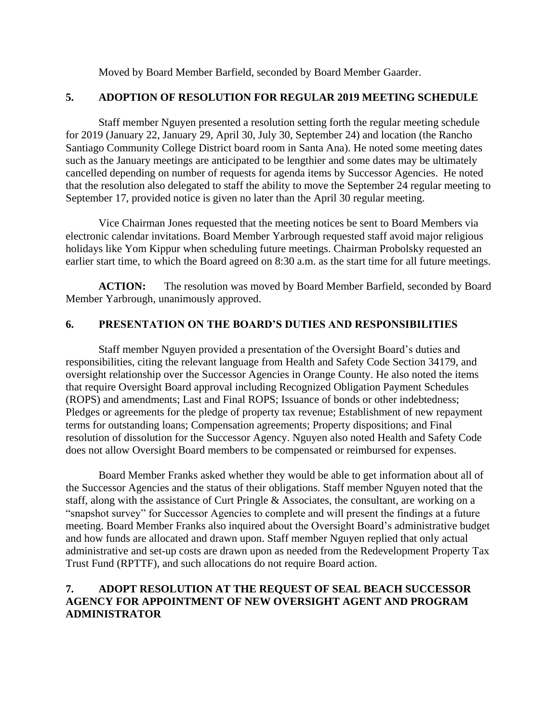Moved by Board Member Barfield, seconded by Board Member Gaarder.

# **5. ADOPTION OF RESOLUTION FOR REGULAR 2019 MEETING SCHEDULE**

Staff member Nguyen presented a resolution setting forth the regular meeting schedule for 2019 (January 22, January 29, April 30, July 30, September 24) and location (the Rancho Santiago Community College District board room in Santa Ana). He noted some meeting dates such as the January meetings are anticipated to be lengthier and some dates may be ultimately cancelled depending on number of requests for agenda items by Successor Agencies. He noted that the resolution also delegated to staff the ability to move the September 24 regular meeting to September 17, provided notice is given no later than the April 30 regular meeting.

Vice Chairman Jones requested that the meeting notices be sent to Board Members via electronic calendar invitations. Board Member Yarbrough requested staff avoid major religious holidays like Yom Kippur when scheduling future meetings. Chairman Probolsky requested an earlier start time, to which the Board agreed on 8:30 a.m. as the start time for all future meetings.

**ACTION:** The resolution was moved by Board Member Barfield, seconded by Board Member Yarbrough, unanimously approved.

# **6. PRESENTATION ON THE BOARD'S DUTIES AND RESPONSIBILITIES**

Staff member Nguyen provided a presentation of the Oversight Board's duties and responsibilities, citing the relevant language from Health and Safety Code Section 34179, and oversight relationship over the Successor Agencies in Orange County. He also noted the items that require Oversight Board approval including Recognized Obligation Payment Schedules (ROPS) and amendments; Last and Final ROPS; Issuance of bonds or other indebtedness; Pledges or agreements for the pledge of property tax revenue; Establishment of new repayment terms for outstanding loans; Compensation agreements; Property dispositions; and Final resolution of dissolution for the Successor Agency. Nguyen also noted Health and Safety Code does not allow Oversight Board members to be compensated or reimbursed for expenses.

Board Member Franks asked whether they would be able to get information about all of the Successor Agencies and the status of their obligations. Staff member Nguyen noted that the staff, along with the assistance of Curt Pringle & Associates, the consultant, are working on a "snapshot survey" for Successor Agencies to complete and will present the findings at a future meeting. Board Member Franks also inquired about the Oversight Board's administrative budget and how funds are allocated and drawn upon. Staff member Nguyen replied that only actual administrative and set-up costs are drawn upon as needed from the Redevelopment Property Tax Trust Fund (RPTTF), and such allocations do not require Board action.

# **7. ADOPT RESOLUTION AT THE REQUEST OF SEAL BEACH SUCCESSOR AGENCY FOR APPOINTMENT OF NEW OVERSIGHT AGENT AND PROGRAM ADMINISTRATOR**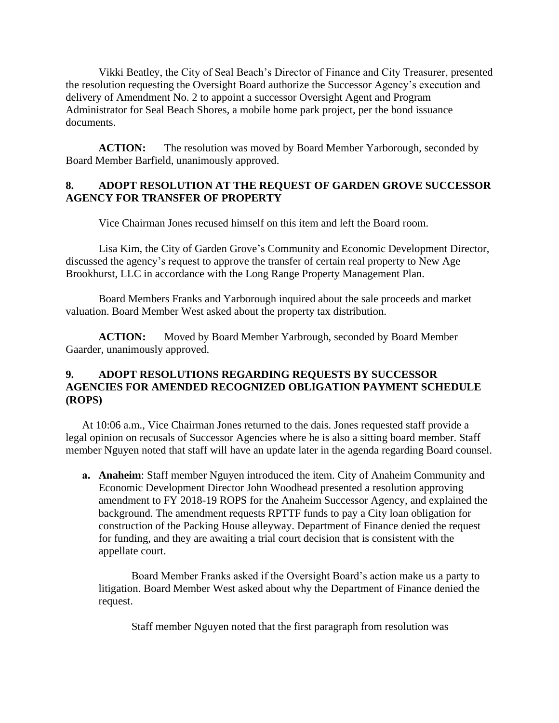Vikki Beatley, the City of Seal Beach's Director of Finance and City Treasurer, presented the resolution requesting the Oversight Board authorize the Successor Agency's execution and delivery of Amendment No. 2 to appoint a successor Oversight Agent and Program Administrator for Seal Beach Shores, a mobile home park project, per the bond issuance documents.

**ACTION:** The resolution was moved by Board Member Yarborough, seconded by Board Member Barfield, unanimously approved.

## **8. ADOPT RESOLUTION AT THE REQUEST OF GARDEN GROVE SUCCESSOR AGENCY FOR TRANSFER OF PROPERTY**

Vice Chairman Jones recused himself on this item and left the Board room.

Lisa Kim, the City of Garden Grove's Community and Economic Development Director, discussed the agency's request to approve the transfer of certain real property to New Age Brookhurst, LLC in accordance with the Long Range Property Management Plan.

Board Members Franks and Yarborough inquired about the sale proceeds and market valuation. Board Member West asked about the property tax distribution.

**ACTION:** Moved by Board Member Yarbrough, seconded by Board Member Gaarder, unanimously approved.

# **9. ADOPT RESOLUTIONS REGARDING REQUESTS BY SUCCESSOR AGENCIES FOR AMENDED RECOGNIZED OBLIGATION PAYMENT SCHEDULE (ROPS)**

At 10:06 a.m., Vice Chairman Jones returned to the dais. Jones requested staff provide a legal opinion on recusals of Successor Agencies where he is also a sitting board member. Staff member Nguyen noted that staff will have an update later in the agenda regarding Board counsel.

**a. Anaheim**: Staff member Nguyen introduced the item. City of Anaheim Community and Economic Development Director John Woodhead presented a resolution approving amendment to FY 2018-19 ROPS for the Anaheim Successor Agency, and explained the background. The amendment requests RPTTF funds to pay a City loan obligation for construction of the Packing House alleyway. Department of Finance denied the request for funding, and they are awaiting a trial court decision that is consistent with the appellate court.

Board Member Franks asked if the Oversight Board's action make us a party to litigation. Board Member West asked about why the Department of Finance denied the request.

Staff member Nguyen noted that the first paragraph from resolution was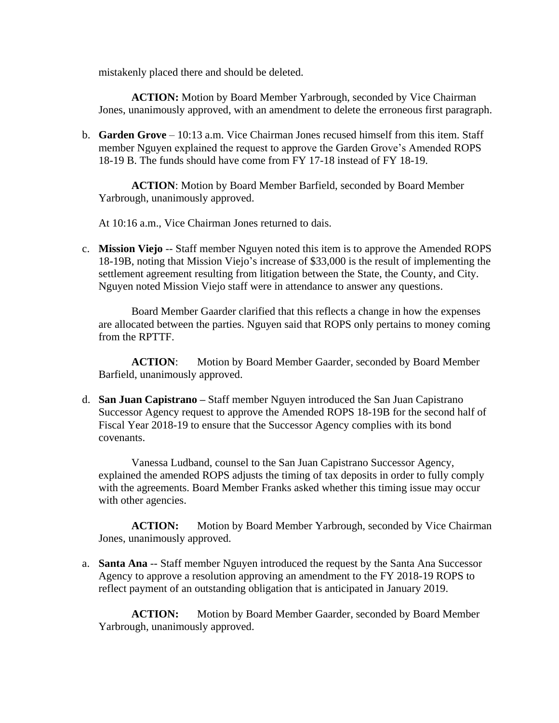mistakenly placed there and should be deleted.

**ACTION:** Motion by Board Member Yarbrough, seconded by Vice Chairman Jones, unanimously approved, with an amendment to delete the erroneous first paragraph.

b. **Garden Grove** – 10:13 a.m. Vice Chairman Jones recused himself from this item. Staff member Nguyen explained the request to approve the Garden Grove's Amended ROPS 18-19 B. The funds should have come from FY 17-18 instead of FY 18-19.

**ACTION**: Motion by Board Member Barfield, seconded by Board Member Yarbrough, unanimously approved.

At 10:16 a.m., Vice Chairman Jones returned to dais.

c. **Mission Viejo** -- Staff member Nguyen noted this item is to approve the Amended ROPS 18-19B, noting that Mission Viejo's increase of \$33,000 is the result of implementing the settlement agreement resulting from litigation between the State, the County, and City. Nguyen noted Mission Viejo staff were in attendance to answer any questions.

Board Member Gaarder clarified that this reflects a change in how the expenses are allocated between the parties. Nguyen said that ROPS only pertains to money coming from the RPTTF.

**ACTION**: Motion by Board Member Gaarder, seconded by Board Member Barfield, unanimously approved.

d. **San Juan Capistrano –** Staff member Nguyen introduced the San Juan Capistrano Successor Agency request to approve the Amended ROPS 18-19B for the second half of Fiscal Year 2018-19 to ensure that the Successor Agency complies with its bond covenants.

Vanessa Ludband, counsel to the San Juan Capistrano Successor Agency, explained the amended ROPS adjusts the timing of tax deposits in order to fully comply with the agreements. Board Member Franks asked whether this timing issue may occur with other agencies.

ACTION: Motion by Board Member Yarbrough, seconded by Vice Chairman Jones, unanimously approved.

a. **Santa Ana** -- Staff member Nguyen introduced the request by the Santa Ana Successor Agency to approve a resolution approving an amendment to the FY 2018-19 ROPS to reflect payment of an outstanding obligation that is anticipated in January 2019.

**ACTION:** Motion by Board Member Gaarder, seconded by Board Member Yarbrough, unanimously approved.